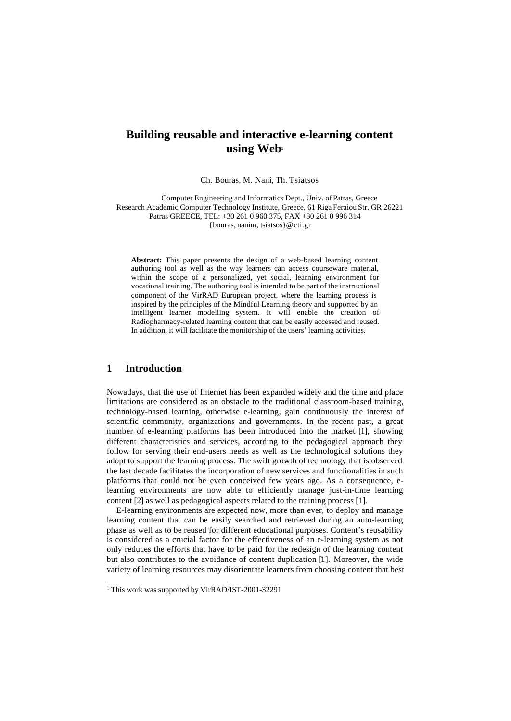# **Building reusable and interactive e-learning content using Web<sup>1</sup>**

Ch. Bouras, M. Nani, Th. Tsiatsos

Computer Engineering and Informatics Dept., Univ. of Patras, Greece Research Academic Computer Technology Institute, Greece, 61 Riga Feraiou Str. GR 26221 Patras GREECE, TEL: +30 261 0 960 375, FAX +30 261 0 996 314 {bouras, nanim, tsiatsos}@cti.gr

**Abstract:** This paper presents the design of a web-based learning content authoring tool as well as the way learners can access courseware material, within the scope of a personalized, yet social, learning environment for vocational training. The authoring tool is intended to be part of the instructional component of the VirRAD European project, where the learning process is inspired by the principles of the Mindful Learning theory and supported by an intelligent learner modelling system. It will enable the creation of Radiopharmacy-related learning content that can be easily accessed and reused. In addition, it will facilitate the monitorship of the users' learning activities.

### **1 Introduction**

l

Nowadays, that the use of Internet has been expanded widely and the time and place limitations are considered as an obstacle to the traditional classroom-based training, technology-based learning, otherwise e-learning, gain continuously the interest of scientific community, organizations and governments. In the recent past, a great number of e-learning platforms has been introduced into the market [1], showing different characteristics and services, according to the pedagogical approach they follow for serving their end-users needs as well as the technological solutions they adopt to support the learning process. The swift growth of technology that is observed the last decade facilitates the incorporation of new services and functionalities in such platforms that could not be even conceived few years ago. As a consequence, elearning environments are now able to efficiently manage just-in-time learning content [2] as well as pedagogical aspects related to the training process [1].

E-learning environments are expected now, more than ever, to deploy and manage learning content that can be easily searched and retrieved during an auto-learning phase as well as to be reused for different educational purposes. Content's reusability is considered as a crucial factor for the effectiveness of an e-learning system as not only reduces the efforts that have to be paid for the redesign of the learning content but also contributes to the avoidance of content duplication [1]. Moreover, the wide variety of learning resources may disorientate learners from choosing content that best

<sup>&</sup>lt;sup>1</sup> This work was supported by VirRAD/IST-2001-32291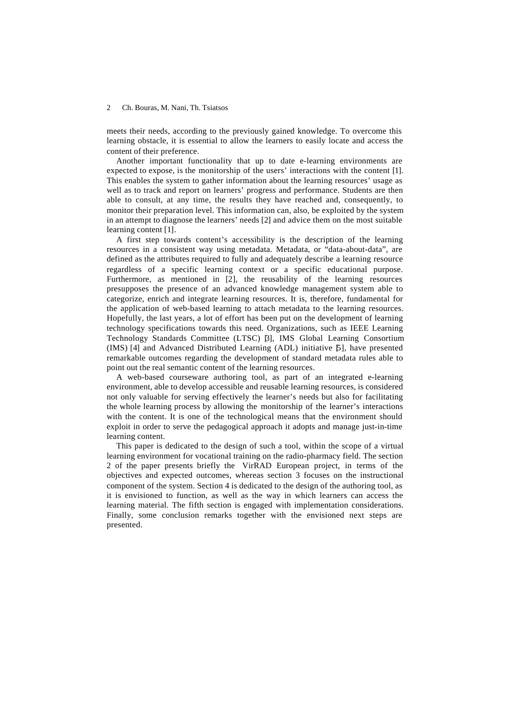meets their needs, according to the previously gained knowledge. To overcome this learning obstacle, it is essential to allow the learners to easily locate and access the content of their preference.

Another important functionality that up to date e-learning environments are expected to expose, is the monitorship of the users' interactions with the content [1]. This enables the system to gather information about the learning resources' usage as well as to track and report on learners' progress and performance. Students are then able to consult, at any time, the results they have reached and, consequently, to monitor their preparation level. This information can, also, be exploited by the system in an attempt to diagnose the learners' needs [2] and advice them on the most suitable learning content [1].

A first step towards content's accessibility is the description of the learning resources in a consistent way using metadata. Metadata, or "data-about-data", are defined as the attributes required to fully and adequately describe a learning resource regardless of a specific learning context or a specific educational purpose. Furthermore, as mentioned in [2], the reusability of the learning resources presupposes the presence of an advanced knowledge management system able to categorize, enrich and integrate learning resources. It is, therefore, fundamental for the application of web-based learning to attach metadata to the learning resources. Hopefully, the last years, a lot of effort has been put on the development of learning technology specifications towards this need. Organizations, such as IEEE Learning Technology Standards Committee (LTSC) [3], IMS Global Learning Consortium (IMS) [4] and Advanced Distributed Learning (ADL) initiative [5], have presented remarkable outcomes regarding the development of standard metadata rules able to point out the real semantic content of the learning resources.

A web-based courseware authoring tool, as part of an integrated e-learning environment, able to develop accessible and reusable learning resources, is considered not only valuable for serving effectively the learner's needs but also for facilitating the whole learning process by allowing the monitorship of the learner's interactions with the content. It is one of the technological means that the environment should exploit in order to serve the pedagogical approach it adopts and manage just-in-time learning content.

This paper is dedicated to the design of such a tool, within the scope of a virtual learning environment for vocational training on the radio-pharmacy field. The section 2 of the paper presents briefly the VirRAD European project, in terms of the objectives and expected outcomes, whereas section 3 focuses on the instructional component of the system. Section 4 is dedicated to the design of the authoring tool, as it is envisioned to function, as well as the way in which learners can access the learning material. The fifth section is engaged with implementation considerations. Finally, some conclusion remarks together with the envisioned next steps are presented.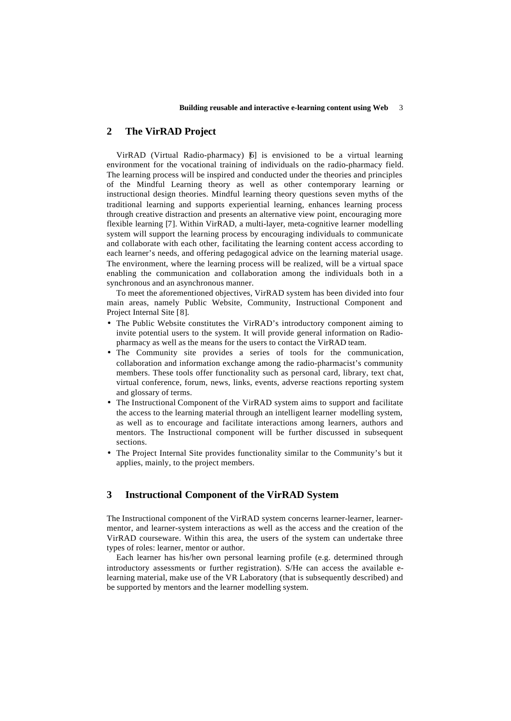### **2 The VirRAD Project**

VirRAD (Virtual Radio-pharmacy) [6] is envisioned to be a virtual learning environment for the vocational training of individuals on the radio-pharmacy field. The learning process will be inspired and conducted under the theories and principles of the Mindful Learning theory as well as other contemporary learning or instructional design theories. Mindful learning theory questions seven myths of the traditional learning and supports experiential learning, enhances learning process through creative distraction and presents an alternative view point, encouraging more flexible learning [7]. Within VirRAD, a multi-layer, meta-cognitive learner modelling system will support the learning process by encouraging individuals to communicate and collaborate with each other, facilitating the learning content access according to each learner's needs, and offering pedagogical advice on the learning material usage. The environment, where the learning process will be realized, will be a virtual space enabling the communication and collaboration among the individuals both in a synchronous and an asynchronous manner.

To meet the aforementioned objectives, VirRAD system has been divided into four main areas, namely Public Website, Community, Instructional Component and Project Internal Site [8].

- The Public Website constitutes the VirRAD's introductory component aiming to invite potential users to the system. It will provide general information on Radiopharmacy as well as the means for the users to contact the VirRAD team.
- The Community site provides a series of tools for the communication, collaboration and information exchange among the radio-pharmacist's community members. These tools offer functionality such as personal card, library, text chat, virtual conference, forum, news, links, events, adverse reactions reporting system and glossary of terms.
- The Instructional Component of the VirRAD system aims to support and facilitate the access to the learning material through an intelligent learner modelling system, as well as to encourage and facilitate interactions among learners, authors and mentors. The Instructional component will be further discussed in subsequent sections.
- The Project Internal Site provides functionality similar to the Community's but it applies, mainly, to the project members.

### **3 Instructional Component of the VirRAD System**

The Instructional component of the VirRAD system concerns learner-learner, learnermentor, and learner-system interactions as well as the access and the creation of the VirRAD courseware. Within this area, the users of the system can undertake three types of roles: learner, mentor or author.

Each learner has his/her own personal learning profile (e.g. determined through introductory assessments or further registration). S/He can access the available elearning material, make use of the VR Laboratory (that is subsequently described) and be supported by mentors and the learner modelling system.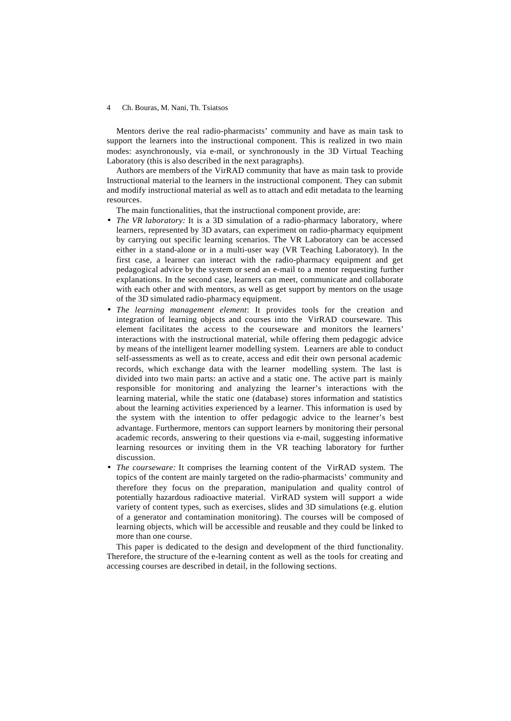Mentors derive the real radio-pharmacists' community and have as main task to support the learners into the instructional component. This is realized in two main modes: asynchronously, via e-mail, or synchronously in the 3D Virtual Teaching Laboratory (this is also described in the next paragraphs).

Authors are members of the VirRAD community that have as main task to provide Instructional material to the learners in the instructional component. They can submit and modify instructional material as well as to attach and edit metadata to the learning resources.

The main functionalities, that the instructional component provide, are:

- *The VR laboratory:* It is a 3D simulation of a radio-pharmacy laboratory, where learners, represented by 3D avatars, can experiment on radio-pharmacy equipment by carrying out specific learning scenarios. The VR Laboratory can be accessed either in a stand-alone or in a multi-user way (VR Teaching Laboratory). In the first case, a learner can interact with the radio-pharmacy equipment and get pedagogical advice by the system or send an e-mail to a mentor requesting further explanations. In the second case, learners can meet, communicate and collaborate with each other and with mentors, as well as get support by mentors on the usage of the 3D simulated radio-pharmacy equipment.
- *The learning management element*: It provides tools for the creation and integration of learning objects and courses into the VirRAD courseware. This element facilitates the access to the courseware and monitors the learners' interactions with the instructional material, while offering them pedagogic advice by means of the intelligent learner modelling system. Learners are able to conduct self-assessments as well as to create, access and edit their own personal academic records, which exchange data with the learner modelling system. The last is divided into two main parts: an active and a static one. The active part is mainly responsible for monitoring and analyzing the learner's interactions with the learning material, while the static one (database) stores information and statistics about the learning activities experienced by a learner. This information is used by the system with the intention to offer pedagogic advice to the learner's best advantage. Furthermore, mentors can support learners by monitoring their personal academic records, answering to their questions via e-mail, suggesting informative learning resources or inviting them in the VR teaching laboratory for further discussion.
- *The courseware:* It comprises the learning content of the VirRAD system. The topics of the content are mainly targeted on the radio-pharmacists' community and therefore they focus on the preparation, manipulation and quality control of potentially hazardous radioactive material. VirRAD system will support a wide variety of content types, such as exercises, slides and 3D simulations (e.g. elution of a generator and contamination monitoring). The courses will be composed of learning objects, which will be accessible and reusable and they could be linked to more than one course.

This paper is dedicated to the design and development of the third functionality. Therefore, the structure of the e-learning content as well as the tools for creating and accessing courses are described in detail, in the following sections.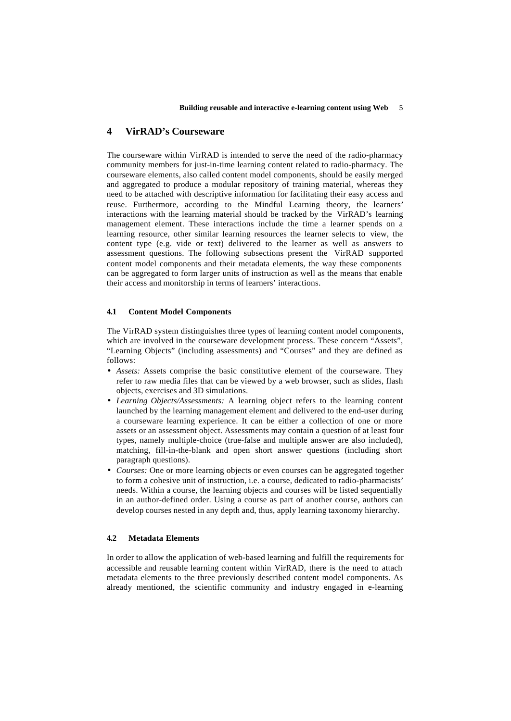### **4 VirRAD's Courseware**

The courseware within VirRAD is intended to serve the need of the radio-pharmacy community members for just-in-time learning content related to radio-pharmacy. The courseware elements, also called content model components, should be easily merged and aggregated to produce a modular repository of training material, whereas they need to be attached with descriptive information for facilitating their easy access and reuse. Furthermore, according to the Mindful Learning theory, the learners' interactions with the learning material should be tracked by the VirRAD's learning management element. These interactions include the time a learner spends on a learning resource, other similar learning resources the learner selects to view, the content type (e.g. vide or text) delivered to the learner as well as answers to assessment questions. The following subsections present the VirRAD supported content model components and their metadata elements, the way these components can be aggregated to form larger units of instruction as well as the means that enable their access and monitorship in terms of learners' interactions.

#### **4.1 Content Model Components**

The VirRAD system distinguishes three types of learning content model components, which are involved in the courseware development process. These concern "Assets", "Learning Objects" (including assessments) and "Courses" and they are defined as follows:

- *Assets:* Assets comprise the basic constitutive element of the courseware. They refer to raw media files that can be viewed by a web browser, such as slides, flash objects, exercises and 3D simulations.
- *Learning Objects/Assessments:* A learning object refers to the learning content launched by the learning management element and delivered to the end-user during a courseware learning experience. It can be either a collection of one or more assets or an assessment object. Assessments may contain a question of at least four types, namely multiple-choice (true-false and multiple answer are also included), matching, fill-in-the-blank and open short answer questions (including short paragraph questions).
- *Courses:* One or more learning objects or even courses can be aggregated together to form a cohesive unit of instruction, i.e. a course, dedicated to radio-pharmacists' needs. Within a course, the learning objects and courses will be listed sequentially in an author-defined order. Using a course as part of another course, authors can develop courses nested in any depth and, thus, apply learning taxonomy hierarchy.

### **4.2 Metadata Elements**

In order to allow the application of web-based learning and fulfill the requirements for accessible and reusable learning content within VirRAD, there is the need to attach metadata elements to the three previously described content model components. As already mentioned, the scientific community and industry engaged in e-learning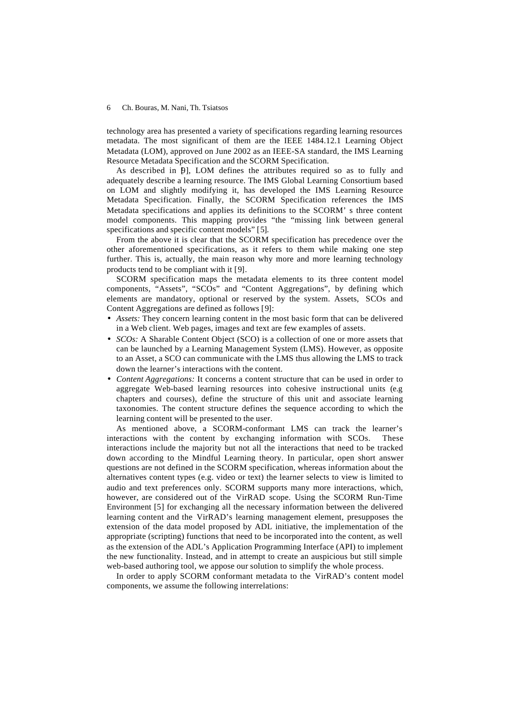technology area has presented a variety of specifications regarding learning resources metadata. The most significant of them are the IEEE 1484.12.1 Learning Object Metadata (LOM), approved on June 2002 as an IEEE-SA standard, the IMS Learning Resource Metadata Specification and the SCORM Specification.

As described in  $[9]$ , LOM defines the attributes required so as to fully and adequately describe a learning resource. The IMS Global Learning Consortium based on LOM and slightly modifying it, has developed the IMS Learning Resource Metadata Specification. Finally, the SCORM Specification references the IMS Metadata specifications and applies its definitions to the SCORM' s three content model components. This mapping provides "the "missing link between general specifications and specific content models" [5].

From the above it is clear that the SCORM specification has precedence over the other aforementioned specifications, as it refers to them while making one step further. This is, actually, the main reason why more and more learning technology products tend to be compliant with it [9].

SCORM specification maps the metadata elements to its three content model components, "Assets", "SCOs" and "Content Aggregations", by defining which elements are mandatory, optional or reserved by the system. Assets, SCOs and Content Aggregations are defined as follows [9]:

- *Assets:* They concern learning content in the most basic form that can be delivered in a Web client. Web pages, images and text are few examples of assets.
- *SCOs:* A Sharable Content Object (SCO) is a collection of one or more assets that can be launched by a Learning Management System (LMS). However, as opposite to an Asset, a SCO can communicate with the LMS thus allowing the LMS to track down the learner's interactions with the content.
- *Content Aggregations:* It concerns a content structure that can be used in order to aggregate Web-based learning resources into cohesive instructional units (e.g chapters and courses), define the structure of this unit and associate learning taxonomies. The content structure defines the sequence according to which the learning content will be presented to the user.

As mentioned above, a SCORM-conformant LMS can track the learner's interactions with the content by exchanging information with SCOs. These interactions include the majority but not all the interactions that need to be tracked down according to the Mindful Learning theory. In particular, open short answer questions are not defined in the SCORM specification, whereas information about the alternatives content types (e.g. video or text) the learner selects to view is limited to audio and text preferences only. SCORM supports many more interactions, which, however, are considered out of the VirRAD scope. Using the SCORM Run-Time Environment [5] for exchanging all the necessary information between the delivered learning content and the VirRAD's learning management element, presupposes the extension of the data model proposed by ADL initiative, the implementation of the appropriate (scripting) functions that need to be incorporated into the content, as well as the extension of the ADL's Application Programming Interface (API) to implement the new functionality. Instead, and in attempt to create an auspicious but still simple web-based authoring tool, we appose our solution to simplify the whole process.

In order to apply SCORM conformant metadata to the VirRAD's content model components, we assume the following interrelations: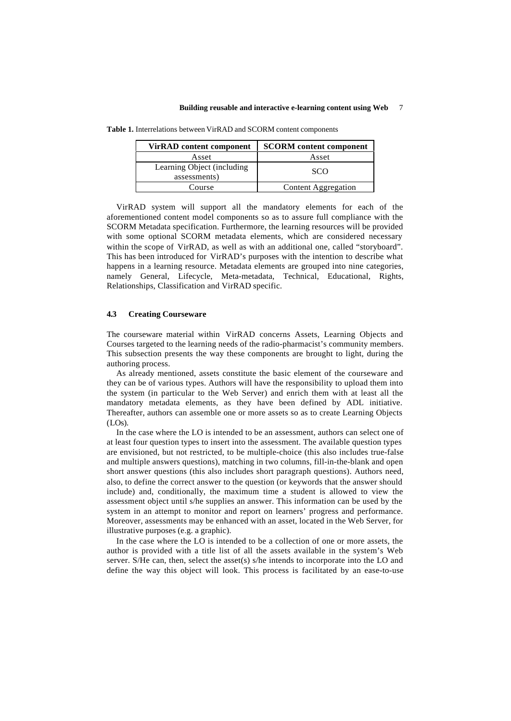#### **Building reusable and interactive e-learning content using Web** 7

| VirRAD content component                   | <b>SCORM</b> content component |
|--------------------------------------------|--------------------------------|
| Asset                                      | Asset                          |
| Learning Object (including<br>assessments) | <b>SCO</b>                     |
| Course                                     | Content Aggregation            |

**Table 1.** Interrelations between VirRAD and SCORM content components

VirRAD system will support all the mandatory elements for each of the aforementioned content model components so as to assure full compliance with the SCORM Metadata specification. Furthermore, the learning resources will be provided with some optional SCORM metadata elements, which are considered necessary within the scope of VirRAD, as well as with an additional one, called "storyboard". This has been introduced for VirRAD's purposes with the intention to describe what happens in a learning resource. Metadata elements are grouped into nine categories, namely General, Lifecycle, Meta-metadata, Technical, Educational, Rights, Relationships, Classification and VirRAD specific.

#### **4.3 Creating Courseware**

The courseware material within VirRAD concerns Assets, Learning Objects and Courses targeted to the learning needs of the radio-pharmacist's community members. This subsection presents the way these components are brought to light, during the authoring process.

As already mentioned, assets constitute the basic element of the courseware and they can be of various types. Authors will have the responsibility to upload them into the system (in particular to the Web Server) and enrich them with at least all the mandatory metadata elements, as they have been defined by ADL initiative. Thereafter, authors can assemble one or more assets so as to create Learning Objects  $(1 \Omega s)$ 

In the case where the LO is intended to be an assessment, authors can select one of at least four question types to insert into the assessment. The available question types are envisioned, but not restricted, to be multiple-choice (this also includes true-false and multiple answers questions), matching in two columns, fill-in-the-blank and open short answer questions (this also includes short paragraph questions). Authors need, also, to define the correct answer to the question (or keywords that the answer should include) and, conditionally, the maximum time a student is allowed to view the assessment object until s/he supplies an answer. This information can be used by the system in an attempt to monitor and report on learners' progress and performance. Moreover, assessments may be enhanced with an asset, located in the Web Server, for illustrative purposes (e.g. a graphic).

In the case where the LO is intended to be a collection of one or more assets, the author is provided with a title list of all the assets available in the system's Web server. S/He can, then, select the asset(s) s/he intends to incorporate into the LO and define the way this object will look. This process is facilitated by an ease-to-use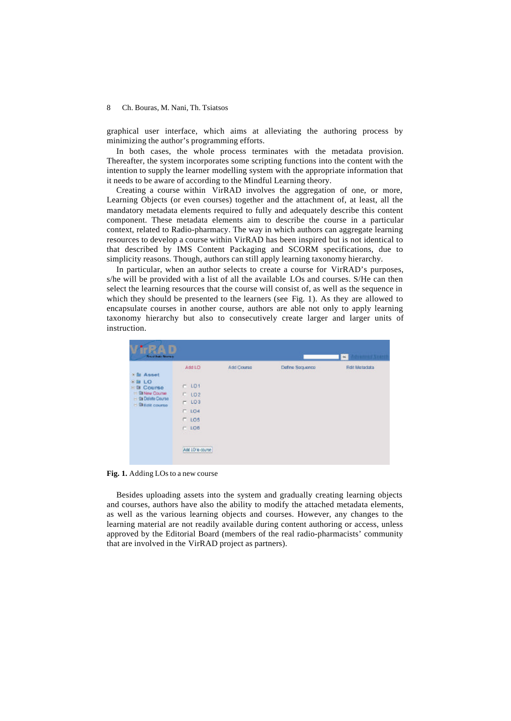graphical user interface, which aims at alleviating the authoring process by minimizing the author's programming efforts.

In both cases, the whole process terminates with the metadata provision. Thereafter, the system incorporates some scripting functions into the content with the intention to supply the learner modelling system with the appropriate information that it needs to be aware of according to the Mindful Learning theory.

Creating a course within VirRAD involves the aggregation of one, or more, Learning Objects (or even courses) together and the attachment of, at least, all the mandatory metadata elements required to fully and adequately describe this content component. These metadata elements aim to describe the course in a particular context, related to Radio-pharmacy. The way in which authors can aggregate learning resources to develop a course within VirRAD has been inspired but is not identical to that described by IMS Content Packaging and SCORM specifications, due to simplicity reasons. Though, authors can still apply learning taxonomy hierarchy.

In particular, when an author selects to create a course for VirRAD's purposes, s/he will be provided with a list of all the available LOs and courses. S/He can then select the learning resources that the course will consist of, as well as the sequence in which they should be presented to the learners (see Fig. 1). As they are allowed to encapsulate courses in another course, authors are able not only to apply learning taxonomy hierarchy but also to consecutively create larger and larger units of instruction.

| <b>x El Asset</b>                                                   | Add LO                                     | Add Course | Define Sequence | Edit Motodata |
|---------------------------------------------------------------------|--------------------------------------------|------------|-----------------|---------------|
| <b>EMLO</b><br><b>H</b> at Course                                   | $F$ LO1                                    |            |                 |               |
| <b>HI Sa New Course:</b><br>El Sa Delete Course<br>El Blenit course | $E$ LD <sub>2</sub><br>$r$ LO <sub>3</sub> |            |                 |               |
|                                                                     | $F$ LO4                                    |            |                 |               |
|                                                                     | $F$ LOS                                    |            |                 |               |
|                                                                     | $E$ 106                                    |            |                 |               |

**Fig. 1.** Adding LOs to a new course

Besides uploading assets into the system and gradually creating learning objects and courses, authors have also the ability to modify the attached metadata elements, as well as the various learning objects and courses. However, any changes to the learning material are not readily available during content authoring or access, unless approved by the Editorial Board (members of the real radio-pharmacists' community that are involved in the VirRAD project as partners).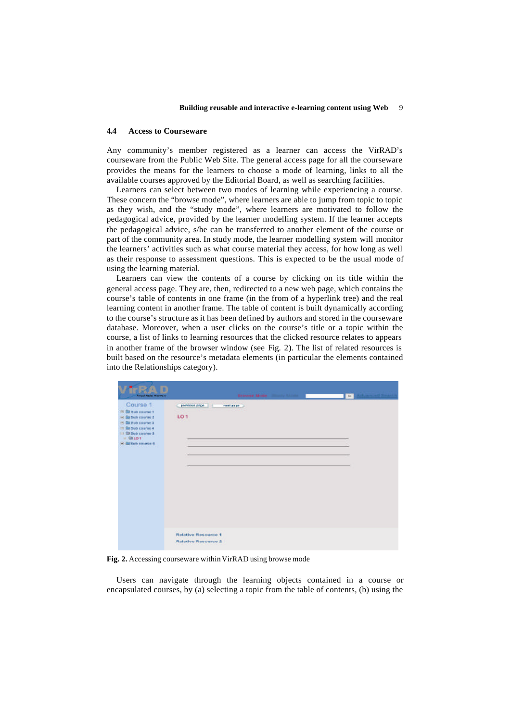#### **4.4 Access to Courseware**

Any community's member registered as a learner can access the VirRAD's courseware from the Public Web Site. The general access page for all the courseware provides the means for the learners to choose a mode of learning, links to all the available courses approved by the Editorial Board, as well as searching facilities.

Learners can select between two modes of learning while experiencing a course. These concern the "browse mode", where learners are able to jump from topic to topic as they wish, and the "study mode", where learners are motivated to follow the pedagogical advice, provided by the learner modelling system. If the learner accepts the pedagogical advice, s/he can be transferred to another element of the course or part of the community area. In study mode, the learner modelling system will monitor the learners' activities such as what course material they access, for how long as well as their response to assessment questions. This is expected to be the usual mode of using the learning material.

Learners can view the contents of a course by clicking on its title within the general access page. They are, then, redirected to a new web page, which contains the course's table of contents in one frame (in the from of a hyperlink tree) and the real learning content in another frame. The table of content is built dynamically according to the course's structure as it has been defined by authors and stored in the courseware database. Moreover, when a user clicks on the course's title or a topic within the course, a list of links to learning resources that the clicked resource relates to appears in another frame of the browser window (see Fig. 2). The list of related resources is built based on the resource's metadata elements (in particular the elements contained into the Relationships category).

| <b>1120</b><br><b>Toront Rede Merrery</b>                                                                                                                            | <b>Browns Mode</b><br><b>Ministry Robins</b>             | 144. |
|----------------------------------------------------------------------------------------------------------------------------------------------------------------------|----------------------------------------------------------|------|
| Course 1<br>(4) Sid Sub course 1<br>(4) Bil Suth course 2<br>El El Sub course 3<br>(e) Sid Sub course 4<br>III E8 Sub course 5<br><b>HIGHLIDT</b><br>H ESub course 6 | previous page<br>runni page<br>LO <sub>1</sub>           |      |
|                                                                                                                                                                      | <b>Relative Researce 1</b><br><b>Ralative Resource 2</b> |      |

**Fig. 2.** Accessing courseware within VirRAD using browse mode

Users can navigate through the learning objects contained in a course or encapsulated courses, by (a) selecting a topic from the table of contents, (b) using the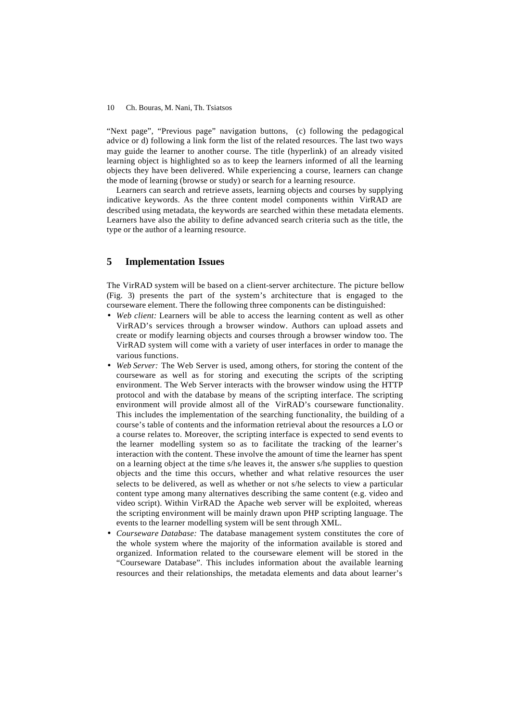"Next page", "Previous page" navigation buttons, (c) following the pedagogical advice or d) following a link form the list of the related resources. The last two ways may guide the learner to another course. The title (hyperlink) of an already visited learning object is highlighted so as to keep the learners informed of all the learning objects they have been delivered. While experiencing a course, learners can change the mode of learning (browse or study) or search for a learning resource.

Learners can search and retrieve assets, learning objects and courses by supplying indicative keywords. As the three content model components within VirRAD are described using metadata, the keywords are searched within these metadata elements. Learners have also the ability to define advanced search criteria such as the title, the type or the author of a learning resource.

### **5 Implementation Issues**

The VirRAD system will be based on a client-server architecture. The picture bellow (Fig. 3) presents the part of the system's architecture that is engaged to the courseware element. There the following three components can be distinguished:

- *Web client:* Learners will be able to access the learning content as well as other VirRAD's services through a browser window. Authors can upload assets and create or modify learning objects and courses through a browser window too. The VirRAD system will come with a variety of user interfaces in order to manage the various functions.
- *Web Server:* The Web Server is used, among others, for storing the content of the courseware as well as for storing and executing the scripts of the scripting environment. The Web Server interacts with the browser window using the HTTP protocol and with the database by means of the scripting interface. The scripting environment will provide almost all of the VirRAD's courseware functionality. This includes the implementation of the searching functionality, the building of a course's table of contents and the information retrieval about the resources a LO or a course relates to. Moreover, the scripting interface is expected to send events to the learner modelling system so as to facilitate the tracking of the learner's interaction with the content. These involve the amount of time the learner has spent on a learning object at the time s/he leaves it, the answer s/he supplies to question objects and the time this occurs, whether and what relative resources the user selects to be delivered, as well as whether or not s/he selects to view a particular content type among many alternatives describing the same content (e.g. video and video script). Within VirRAD the Apache web server will be exploited, whereas the scripting environment will be mainly drawn upon PHP scripting language. The events to the learner modelling system will be sent through XML.
- *Courseware Database:* The database management system constitutes the core of the whole system where the majority of the information available is stored and organized. Information related to the courseware element will be stored in the "Courseware Database". This includes information about the available learning resources and their relationships, the metadata elements and data about learner's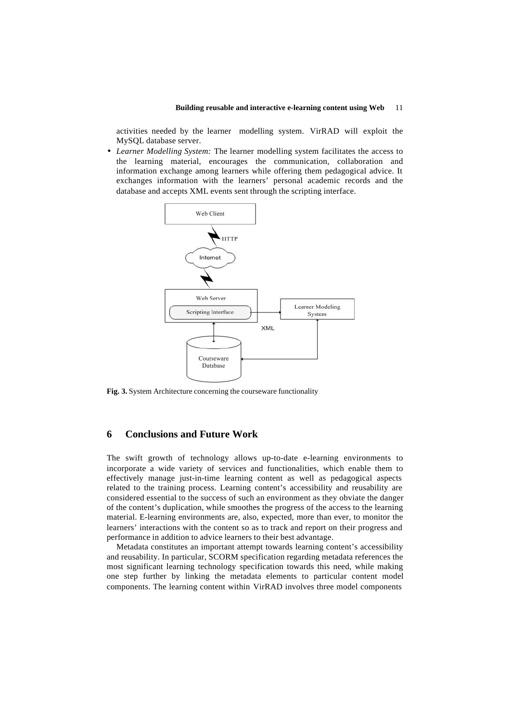activities needed by the learner modelling system. VirRAD will exploit the MySQL database server.

• *Learner Modelling System:* The learner modelling system facilitates the access to the learning material, encourages the communication, collaboration and information exchange among learners while offering them pedagogical advice. It exchanges information with the learners' personal academic records and the database and accepts XML events sent through the scripting interface.



**Fig. 3.** System Architecture concerning the courseware functionality

### **6 Conclusions and Future Work**

The swift growth of technology allows up-to-date e-learning environments to incorporate a wide variety of services and functionalities, which enable them to effectively manage just-in-time learning content as well as pedagogical aspects related to the training process. Learning content's accessibility and reusability are considered essential to the success of such an environment as they obviate the danger of the content's duplication, while smoothes the progress of the access to the learning material. E-learning environments are, also, expected, more than ever, to monitor the learners' interactions with the content so as to track and report on their progress and performance in addition to advice learners to their best advantage.

Metadata constitutes an important attempt towards learning content's accessibility and reusability. In particular, SCORM specification regarding metadata references the most significant learning technology specification towards this need, while making one step further by linking the metadata elements to particular content model components. The learning content within VirRAD involves three model components